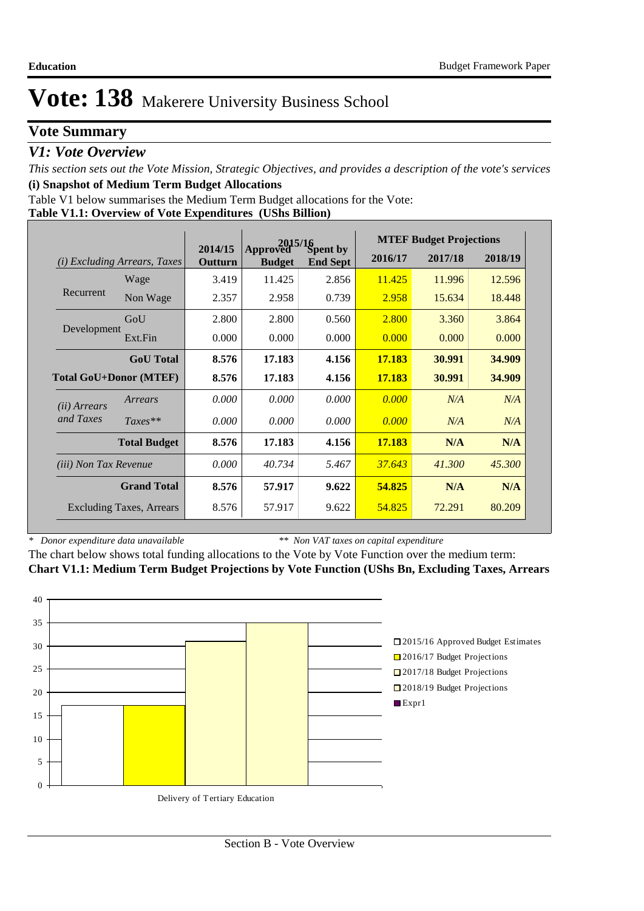# **Vote Summary**

## *V1: Vote Overview*

*This section sets out the Vote Mission, Strategic Objectives, and provides a description of the vote's services* **(i) Snapshot of Medium Term Budget Allocations** 

Table V1 below summarises the Medium Term Budget allocations for the Vote:

|--|

|                                 |                                 | 2015/16            |                           |                             | <b>MTEF Budget Projections</b> |         |         |  |
|---------------------------------|---------------------------------|--------------------|---------------------------|-----------------------------|--------------------------------|---------|---------|--|
| (i)                             | <i>Excluding Arrears, Taxes</i> | 2014/15<br>Outturn | Approved<br><b>Budget</b> | Spent by<br><b>End Sept</b> | 2016/17                        | 2017/18 | 2018/19 |  |
|                                 | Wage                            | 3.419              | 11.425                    | 2.856                       | 11.425                         | 11.996  | 12.596  |  |
| Recurrent                       | Non Wage                        | 2.357              | 2.958                     | 0.739                       | 2.958                          | 15.634  | 18.448  |  |
|                                 | GoU                             | 2.800              | 2.800                     | 0.560                       | 2.800                          | 3.360   | 3.864   |  |
| Development                     | Ext.Fin                         | 0.000              | 0.000                     | 0.000                       | 0.000                          | 0.000   | 0.000   |  |
|                                 | <b>GoU</b> Total                | 8.576              | 17.183                    | 4.156                       | 17.183                         | 30.991  | 34.909  |  |
| <b>Total GoU+Donor (MTEF)</b>   |                                 | 8.576              | 17.183                    | 4.156                       | 17.183                         | 30.991  | 34.909  |  |
| ( <i>ii</i> ) Arrears           | Arrears                         | 0.000              | 0.000                     | 0.000                       | 0.000                          | N/A     | N/A     |  |
| and Taxes                       | $Taxes**$                       | 0.000              | 0.000                     | 0.000                       | 0.000                          | N/A     | N/A     |  |
|                                 | <b>Total Budget</b>             | 8.576              | 17.183                    | 4.156                       | 17.183                         | N/A     | N/A     |  |
| <i>(iii)</i> Non Tax Revenue    |                                 | 0.000              | 40.734                    | 5.467                       | 37.643                         | 41.300  | 45.300  |  |
| <b>Grand Total</b>              |                                 | 8.576              | 57.917                    | 9.622                       | 54.825                         | N/A     | N/A     |  |
| <b>Excluding Taxes, Arrears</b> |                                 | 8.576              | 57.917                    | 9.622                       | 54.825                         | 72.291  | 80.209  |  |

*\* Donor expenditure data unavailable*

*\*\* Non VAT taxes on capital expenditure*

The chart below shows total funding allocations to the Vote by Vote Function over the medium term: **Chart V1.1: Medium Term Budget Projections by Vote Function (UShs Bn, Excluding Taxes, Arrears**

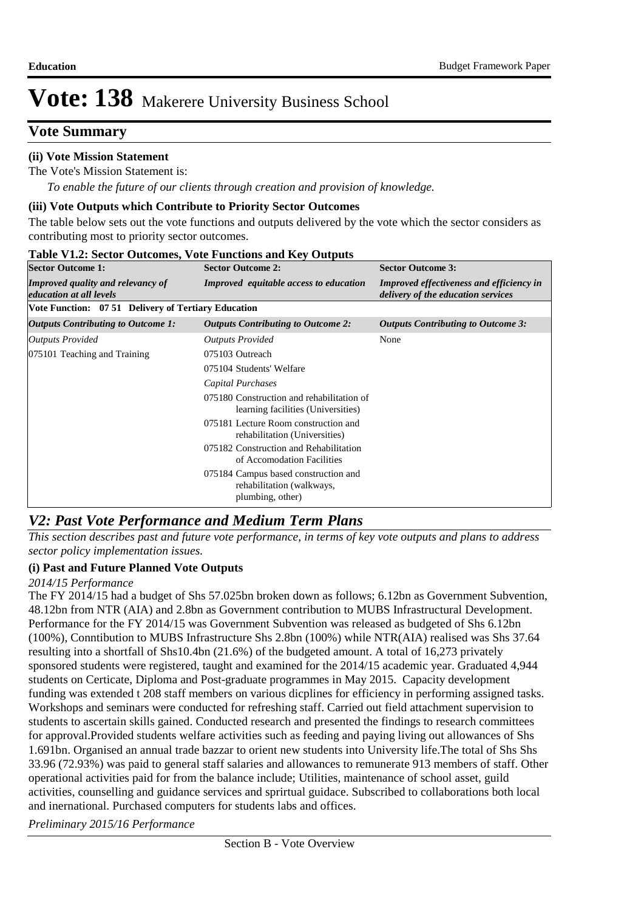# **Vote Summary**

### **(ii) Vote Mission Statement**

The Vote's Mission Statement is:

*To enable the future of our clients through creation and provision of knowledge.*

#### **(iii) Vote Outputs which Contribute to Priority Sector Outcomes**

The table below sets out the vote functions and outputs delivered by the vote which the sector considers as contributing most to priority sector outcomes.

| <b>Sector Outcome 1:</b>                                            | <b>Sector Outcome 2:</b>                                                              | <b>Sector Outcome 3:</b>                                                       |  |  |  |  |  |  |  |  |
|---------------------------------------------------------------------|---------------------------------------------------------------------------------------|--------------------------------------------------------------------------------|--|--|--|--|--|--|--|--|
| <b>Improved quality and relevancy of</b><br>education at all levels | <b>Improved</b> equitable access to education                                         | Improved effectiveness and efficiency in<br>delivery of the education services |  |  |  |  |  |  |  |  |
| Vote Function: 07 51 Delivery of Tertiary Education                 |                                                                                       |                                                                                |  |  |  |  |  |  |  |  |
| <b>Outputs Contributing to Outcome 1:</b>                           | <b>Outputs Contributing to Outcome 2:</b>                                             | <b>Outputs Contributing to Outcome 3:</b>                                      |  |  |  |  |  |  |  |  |
| Outputs Provided                                                    | <b>Outputs Provided</b>                                                               | None                                                                           |  |  |  |  |  |  |  |  |
| 075101 Teaching and Training                                        | 075103 Outreach                                                                       |                                                                                |  |  |  |  |  |  |  |  |
|                                                                     | 075104 Students' Welfare                                                              |                                                                                |  |  |  |  |  |  |  |  |
|                                                                     | Capital Purchases                                                                     |                                                                                |  |  |  |  |  |  |  |  |
|                                                                     | 075180 Construction and rehabilitation of<br>learning facilities (Universities)       |                                                                                |  |  |  |  |  |  |  |  |
|                                                                     | 075181 Lecture Room construction and<br>rehabilitation (Universities)                 |                                                                                |  |  |  |  |  |  |  |  |
|                                                                     | 075182 Construction and Rehabilitation<br>of Accomodation Facilities                  |                                                                                |  |  |  |  |  |  |  |  |
|                                                                     | 075184 Campus based construction and<br>rehabilitation (walkways,<br>plumbing, other) |                                                                                |  |  |  |  |  |  |  |  |

#### **Table V1.2: Sector Outcomes, Vote Functions and Key Outputs**

## *V2: Past Vote Performance and Medium Term Plans*

*This section describes past and future vote performance, in terms of key vote outputs and plans to address sector policy implementation issues.* 

### **(i) Past and Future Planned Vote Outputs**

### *2014/15 Performance*

The FY 2014/15 had a budget of Shs 57.025bn broken down as follows; 6.12bn as Government Subvention, 48.12bn from NTR (AIA) and 2.8bn as Government contribution to MUBS Infrastructural Development. Performance for the FY 2014/15 was Government Subvention was released as budgeted of Shs 6.12bn (100%), Conntibution to MUBS Infrastructure Shs 2.8bn (100%) while NTR(AIA) realised was Shs 37.64 resulting into a shortfall of Shs10.4bn (21.6%) of the budgeted amount. A total of 16,273 privately sponsored students were registered, taught and examined for the 2014/15 academic year. Graduated 4,944 students on Certicate, Diploma and Post-graduate programmes in May 2015. Capacity development funding was extended t 208 staff members on various dicplines for efficiency in performing assigned tasks. Workshops and seminars were conducted for refreshing staff. Carried out field attachment supervision to students to ascertain skills gained. Conducted research and presented the findings to research committees for approval.Provided students welfare activities such as feeding and paying living out allowances of Shs 1.691bn. Organised an annual trade bazzar to orient new students into University life.The total of Shs Shs 33.96 (72.93%) was paid to general staff salaries and allowances to remunerate 913 members of staff. Other operational activities paid for from the balance include; Utilities, maintenance of school asset, guild activities, counselling and guidance services and sprirtual guidace. Subscribed to collaborations both local and inernational. Purchased computers for students labs and offices.

*Preliminary 2015/16 Performance*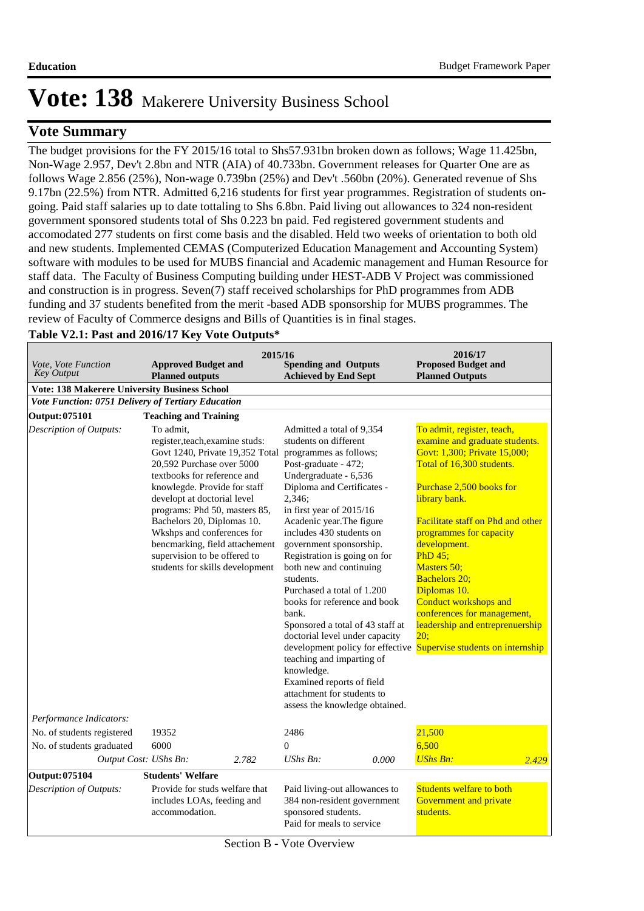# $\bf{V}$ ote  $\bf{Summary}$

The budget provisions for the FY 2015/16 total to Shs57.931bn broken down as follows; Wage 11.425bn, Non-Wage 2.957, Dev't 2.8bn and NTR (AIA) of 40.733bn. Government releases for Quarter One are as follows Wage 2.856 (25%), Non-wage 0.739bn (25%) and Dev't .560bn (20%). Generated revenue of Shs 9.17bn (22.5%) from NTR. Admitted 6,216 students for first year programmes. Registration of students ongoing. Paid staff salaries up to date tottaling to Shs 6.8bn. Paid living out allowances to 324 non-resident government sponsored students total of Shs 0.223 bn paid. Fed registered government students and accomodated 277 students on first come basis and the disabled. Held two weeks of orientation to both old and new students. Implemented CEMAS (Computerized Education Management and Accounting System) software with modules to be used for MUBS financial and Academic management and Human Resource for staff data. The Faculty of Business Computing building under HEST-ADB V Project was commissioned and construction is in progress. Seven(7) staff received scholarships for PhD programmes from ADB funding and 37 students benefited from the merit -based ADB sponsorship for MUBS programmes. The review of Faculty of Commerce designs and Bills of Quantities is in final stages.

| <i>Vote, Vote Function</i><br><b>Approved Budget and</b><br><b>Key Output</b><br><b>Planned outputs</b>                                                                                                                                                                                                                                                                                                                                                                                          |                                                                                | 2015/16<br><b>Spending and Outputs</b><br><b>Achieved by End Sept</b>                                                                                                                                                                                                                                                                                                                                                                                                                                                                                                                                                                              | 2016/17<br><b>Proposed Budget and</b><br><b>Planned Outputs</b>                                                                                                                                                                                                                                                                                                                                                                                                                                                      |
|--------------------------------------------------------------------------------------------------------------------------------------------------------------------------------------------------------------------------------------------------------------------------------------------------------------------------------------------------------------------------------------------------------------------------------------------------------------------------------------------------|--------------------------------------------------------------------------------|----------------------------------------------------------------------------------------------------------------------------------------------------------------------------------------------------------------------------------------------------------------------------------------------------------------------------------------------------------------------------------------------------------------------------------------------------------------------------------------------------------------------------------------------------------------------------------------------------------------------------------------------------|----------------------------------------------------------------------------------------------------------------------------------------------------------------------------------------------------------------------------------------------------------------------------------------------------------------------------------------------------------------------------------------------------------------------------------------------------------------------------------------------------------------------|
| <b>Vote: 138 Makerere University Business School</b><br>Vote Function: 0751 Delivery of Tertiary Education                                                                                                                                                                                                                                                                                                                                                                                       |                                                                                |                                                                                                                                                                                                                                                                                                                                                                                                                                                                                                                                                                                                                                                    |                                                                                                                                                                                                                                                                                                                                                                                                                                                                                                                      |
|                                                                                                                                                                                                                                                                                                                                                                                                                                                                                                  |                                                                                |                                                                                                                                                                                                                                                                                                                                                                                                                                                                                                                                                                                                                                                    |                                                                                                                                                                                                                                                                                                                                                                                                                                                                                                                      |
| Output: 075101<br><b>Teaching and Training</b><br><b>Description of Outputs:</b><br>To admit,<br>register, teach, examine studs:<br>Govt 1240, Private 19,352 Total<br>20,592 Purchase over 5000<br>textbooks for reference and<br>knowlegde. Provide for staff<br>developt at doctorial level<br>programs: Phd 50, masters 85,<br>Bachelors 20, Diplomas 10.<br>Wkshps and conferences for<br>bencmarking, field attachement<br>supervision to be offered to<br>students for skills development |                                                                                | Admitted a total of 9,354<br>students on different<br>programmes as follows;<br>Post-graduate - 472;<br>Undergraduate - 6,536<br>Diploma and Certificates -<br>2,346;<br>in first year of 2015/16<br>Acadenic year. The figure<br>includes 430 students on<br>government sponsorship.<br>Registration is going on for<br>both new and continuing<br>students.<br>Purchased a total of 1.200<br>books for reference and book<br>bank.<br>Sponsored a total of 43 staff at<br>doctorial level under capacity<br>teaching and imparting of<br>knowledge.<br>Examined reports of field<br>attachment for students to<br>assess the knowledge obtained. | To admit, register, teach,<br>examine and graduate students.<br>Govt: 1,300; Private 15,000;<br>Total of 16,300 students.<br>Purchase 2,500 books for<br>library bank.<br><b>Facilitate staff on Phd and other</b><br>programmes for capacity<br>development.<br>PhD 45;<br>Masters 50;<br><b>Bachelors 20;</b><br>Diplomas 10.<br><b>Conduct workshops and</b><br>conferences for management,<br>leadership and entreprenuership<br>20:<br>development policy for effective <b>Supervise students on internship</b> |
| Performance Indicators:                                                                                                                                                                                                                                                                                                                                                                                                                                                                          |                                                                                |                                                                                                                                                                                                                                                                                                                                                                                                                                                                                                                                                                                                                                                    |                                                                                                                                                                                                                                                                                                                                                                                                                                                                                                                      |
| No. of students registered                                                                                                                                                                                                                                                                                                                                                                                                                                                                       | 19352                                                                          | 2486                                                                                                                                                                                                                                                                                                                                                                                                                                                                                                                                                                                                                                               | 21,500                                                                                                                                                                                                                                                                                                                                                                                                                                                                                                               |
| No. of students graduated                                                                                                                                                                                                                                                                                                                                                                                                                                                                        | 6000                                                                           | $\overline{0}$                                                                                                                                                                                                                                                                                                                                                                                                                                                                                                                                                                                                                                     | 6,500                                                                                                                                                                                                                                                                                                                                                                                                                                                                                                                |
| Output Cost: UShs Bn:                                                                                                                                                                                                                                                                                                                                                                                                                                                                            | 2.782                                                                          | $UShs Bn$ :<br>0.000                                                                                                                                                                                                                                                                                                                                                                                                                                                                                                                                                                                                                               | <b>UShs Bn:</b><br>2.429                                                                                                                                                                                                                                                                                                                                                                                                                                                                                             |
| Output: 075104                                                                                                                                                                                                                                                                                                                                                                                                                                                                                   | <b>Students' Welfare</b>                                                       |                                                                                                                                                                                                                                                                                                                                                                                                                                                                                                                                                                                                                                                    |                                                                                                                                                                                                                                                                                                                                                                                                                                                                                                                      |
| <b>Description of Outputs:</b>                                                                                                                                                                                                                                                                                                                                                                                                                                                                   | Provide for studs welfare that<br>includes LOAs, feeding and<br>accommodation. | Paid living-out allowances to<br>384 non-resident government<br>sponsored students.<br>Paid for meals to service                                                                                                                                                                                                                                                                                                                                                                                                                                                                                                                                   | <b>Students welfare to both</b><br>Government and private<br>students.                                                                                                                                                                                                                                                                                                                                                                                                                                               |

#### **Table V2.1: Past and 2016/17 Key Vote Outputs\***

Section B - Vote Overview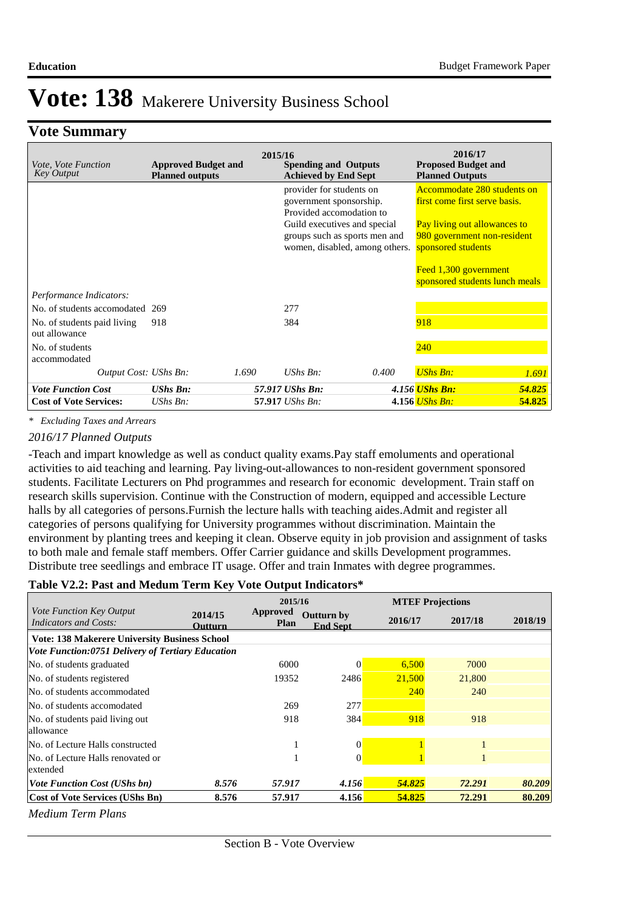## **Vote Summary**

| <i>Vote, Vote Function</i><br>Key Output     | <b>Approved Budget and</b><br><b>Planned outputs</b> | 2015/16<br><b>Spending and Outputs</b><br><b>Achieved by End Sept</b> |                                                                                                                                                                                    | 2016/17<br><b>Proposed Budget and</b><br><b>Planned Outputs</b> |                                                                                                                                                   |        |
|----------------------------------------------|------------------------------------------------------|-----------------------------------------------------------------------|------------------------------------------------------------------------------------------------------------------------------------------------------------------------------------|-----------------------------------------------------------------|---------------------------------------------------------------------------------------------------------------------------------------------------|--------|
|                                              |                                                      |                                                                       | provider for students on<br>government sponsorship.<br>Provided accomodation to<br>Guild executives and special<br>groups such as sports men and<br>women, disabled, among others. |                                                                 | Accommodate 280 students on<br>first come first serve basis.<br>Pay living out allowances to<br>980 government non-resident<br>sponsored students |        |
|                                              |                                                      |                                                                       |                                                                                                                                                                                    |                                                                 | Feed 1,300 government<br>sponsored students lunch meals                                                                                           |        |
| Performance Indicators:                      |                                                      |                                                                       |                                                                                                                                                                                    |                                                                 |                                                                                                                                                   |        |
| No. of students accomodated 269              |                                                      |                                                                       | 277                                                                                                                                                                                |                                                                 |                                                                                                                                                   |        |
| No. of students paid living<br>out allowance | 918                                                  |                                                                       | 384                                                                                                                                                                                |                                                                 | 918                                                                                                                                               |        |
| No. of students<br>accommodated              |                                                      |                                                                       |                                                                                                                                                                                    |                                                                 | 240                                                                                                                                               |        |
| Output Cost: UShs Bn:                        | 1.690                                                |                                                                       | UShs $Bn$ :                                                                                                                                                                        | 0.400                                                           | <b>UShs Bn:</b>                                                                                                                                   | 1.691  |
| <b>Vote Function Cost</b>                    | <b>UShs Bn:</b>                                      |                                                                       | 57.917 UShs Bn:                                                                                                                                                                    |                                                                 | 4.156 <i>UShs Bn:</i>                                                                                                                             | 54.825 |
| <b>Cost of Vote Services:</b>                | $UShs Bn$ :                                          |                                                                       | 57.917 <i>UShs Bn:</i>                                                                                                                                                             |                                                                 | 4.156 <i>UShs Bn</i> :                                                                                                                            | 54.825 |

*\* Excluding Taxes and Arrears*

#### *2016/17 Planned Outputs*

-Teach and impart knowledge as well as conduct quality exams. Pay staff emoluments and operational activities to aid teaching and learning. Pay living-out-allowances to non-resident government sponsored students. Facilitate Lecturers on Phd programmes and research for economic development. Train staff on research skills supervision. Continue with the Construction of modern, equipped and accessible Lecture halls by all categories of persons. Furnish the lecture halls with teaching aides. Admit and register all categories of persons qualifying for University programmes without discrimination. Maintain the environment by planting trees and keeping it clean. Observe equity in job provision and assignment of tasks to both male and female staff members. Offer Carrier guidance and skills Development programmes. Distribute tree seedlings and embrace IT usage. Offer and train Inmates with degree programmes.

#### **Table V2.2: Past and Medum Term Key Vote Output Indicators\***

|                                                          |                           | 2015/16                 |                                      |         | <b>MTEF Projections</b> |         |  |
|----------------------------------------------------------|---------------------------|-------------------------|--------------------------------------|---------|-------------------------|---------|--|
| Vote Function Key Output<br><b>Indicators and Costs:</b> | 2014/15<br><b>Outturn</b> | Approved<br><b>Plan</b> | <b>Outturn by</b><br><b>End Sept</b> | 2016/17 | 2017/18                 | 2018/19 |  |
| <b>Vote: 138 Makerere University Business School</b>     |                           |                         |                                      |         |                         |         |  |
| Vote Function:0751 Delivery of Tertiary Education        |                           |                         |                                      |         |                         |         |  |
| No. of students graduated                                |                           | 6000                    |                                      | 6,500   | 7000                    |         |  |
| No. of students registered                               |                           | 19352                   | 2486                                 | 21,500  | 21,800                  |         |  |
| No. of students accommodated                             |                           |                         |                                      | 240     | 240                     |         |  |
| No. of students accomodated                              |                           | 269                     | 277                                  |         |                         |         |  |
| No. of students paid living out                          |                           | 918                     | 384                                  | 918     | 918                     |         |  |
| allowance                                                |                           |                         |                                      |         |                         |         |  |
| No. of Lecture Halls constructed                         |                           |                         | $\Omega$                             |         |                         |         |  |
| No. of Lecture Halls renovated or                        |                           |                         | $\Omega$                             |         |                         |         |  |
| extended                                                 |                           |                         |                                      |         |                         |         |  |
| <b>Vote Function Cost (UShs bn)</b>                      | 8.576                     | 57.917                  | 4.156                                | 54.825  | 72.291                  | 80.209  |  |
| <b>Cost of Vote Services (UShs Bn)</b>                   | 8.576                     | 57.917                  | 4.156                                | 54.825  | 72.291                  | 80.209  |  |

*Medium Term Plans*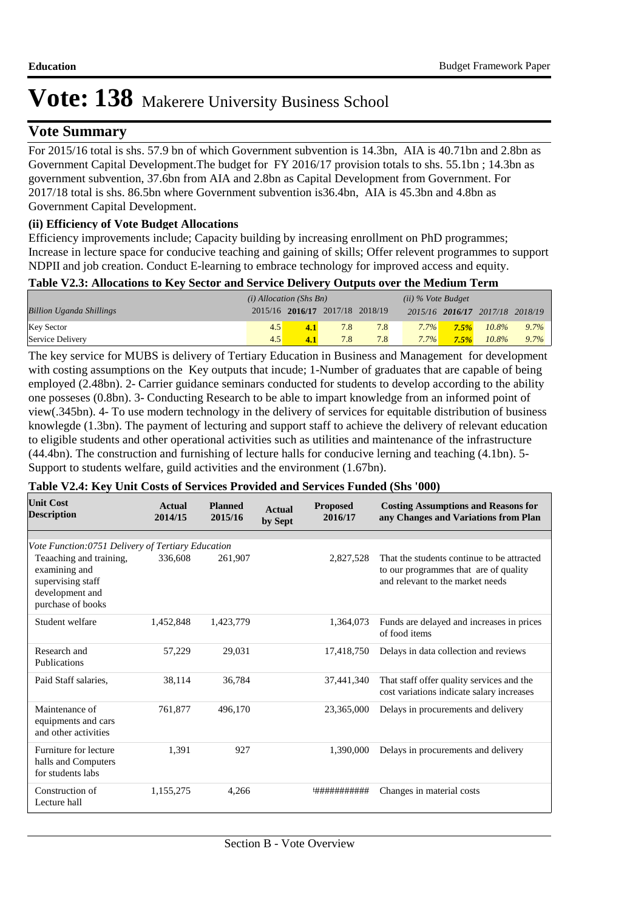# $V$ ote Summary

For 2015/16 total is shs. 57.9 bn of which Government subvention is 14.3bn, AIA is 40.71bn and 2.8bn as Government Capital Development.The budget for FY 2016/17 provision totals to shs. 55.1bn ; 14.3bn as government subvention, 37.6bn from AIA and 2.8bn as Capital Development from Government. For 2017/18 total is shs. 86.5bn where Government subvention is36.4bn, AIA is 45.3bn and 4.8bn as Government Capital Development.

### **(ii) Efficiency of Vote Budget Allocations**

Efficiency improvements include; Capacity building by increasing enrollment on PhD programmes; Increase in lecture space for conducive teaching and gaining of skills; Offer relevent programmes to support NDPII and job creation. Conduct E-learning to embrace technology for improved access and equity.

### **Table V2.3: Allocations to Key Sector and Service Delivery Outputs over the Medium Term**

|                                 | $(i)$ Allocation (Shs Bn) |     |                                 |     | $(ii)$ % Vote Budget |         |                                 |         |
|---------------------------------|---------------------------|-----|---------------------------------|-----|----------------------|---------|---------------------------------|---------|
| <b>Billion Uganda Shillings</b> |                           |     | 2015/16 2016/17 2017/18 2018/19 |     |                      |         | 2015/16 2016/17 2017/18 2018/19 |         |
| <b>Key Sector</b>               |                           | 4.1 | 7.8                             | 7.8 | $7.7\%$              | $7.5\%$ | $10.8\%$                        | $9.7\%$ |
| Service Delivery                | 4.5                       |     | 7.8                             |     | $7.7\%$              | 7.5%    | $10.8\%$                        | $9.7\%$ |

The key service for MUBS is delivery of Tertiary Education in Business and Management for development with costing assumptions on the Key outputs that incude; 1-Number of graduates that are capable of being employed (2.48bn). 2- Carrier guidance seminars conducted for students to develop according to the ability one posseses (0.8bn). 3- Conducting Research to be able to impart knowledge from an informed point of view(.345bn). 4- To use modern technology in the delivery of services for equitable distribution of business knowlegde (1.3bn). The payment of lecturing and support staff to achieve the delivery of relevant education to eligible students and other operational activities such as utilities and maintenance of the infrastructure (44.4bn). The construction and furnishing of lecture halls for conducive lerning and teaching (4.1bn). 5- Support to students welfare, guild activities and the environment (1.67bn).

### **Table V2.4: Key Unit Costs of Services Provided and Services Funded (Shs '000)**

| <b>Unit Cost</b><br><b>Description</b>                                                                | Actual<br>2014/15 | <b>Planned</b><br>2015/16 | <b>Actual</b><br>by Sept | <b>Proposed</b><br>2016/17 | <b>Costing Assumptions and Reasons for</b><br>any Changes and Variations from Plan                                      |
|-------------------------------------------------------------------------------------------------------|-------------------|---------------------------|--------------------------|----------------------------|-------------------------------------------------------------------------------------------------------------------------|
|                                                                                                       |                   |                           |                          |                            |                                                                                                                         |
| Vote Function:0751 Delivery of Tertiary Education                                                     |                   |                           |                          |                            |                                                                                                                         |
| Teaaching and training,<br>examining and<br>supervising staff<br>development and<br>purchase of books | 336,608           | 261,907                   |                          | 2,827,528                  | That the students continue to be attracted<br>to our programmes that are of quality<br>and relevant to the market needs |
| Student welfare                                                                                       | 1,452,848         | 1,423,779                 |                          | 1,364,073                  | Funds are delayed and increases in prices<br>of food items                                                              |
| Research and<br>Publications                                                                          | 57,229            | 29,031                    |                          | 17,418,750                 | Delays in data collection and reviews                                                                                   |
| Paid Staff salaries,                                                                                  | 38,114            | 36,784                    |                          | 37,441,340                 | That staff offer quality services and the<br>cost variations indicate salary increases                                  |
| Maintenance of<br>equipments and cars<br>and other activities                                         | 761.877           | 496.170                   |                          | 23,365,000                 | Delays in procurements and delivery                                                                                     |
| Furniture for lecture<br>halls and Computers<br>for students labs                                     | 1.391             | 927                       |                          | 1.390,000                  | Delays in procurements and delivery                                                                                     |
| Construction of<br>Lecture hall                                                                       | 1,155,275         | 4,266                     |                          | '###########               | Changes in material costs                                                                                               |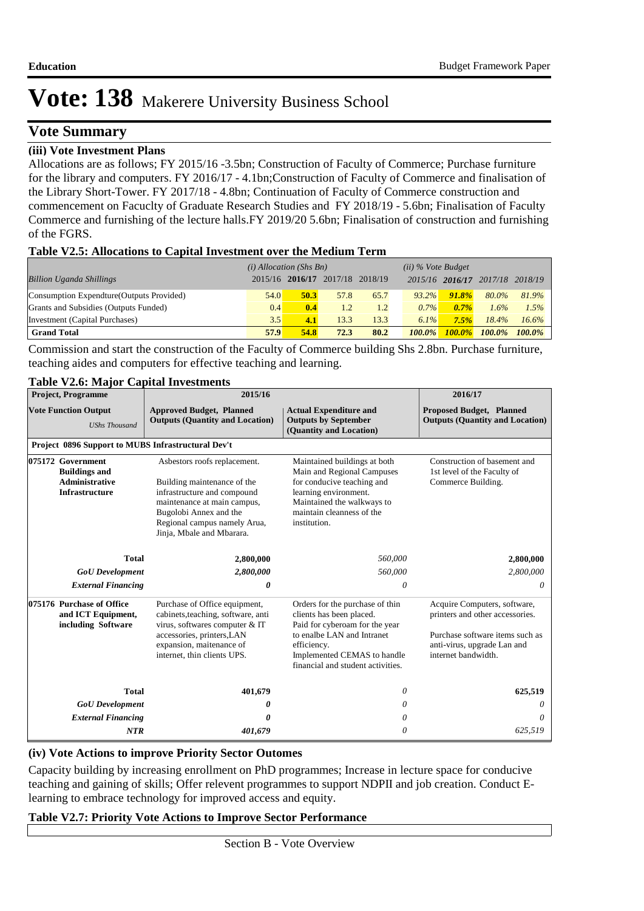## **Vote Summary**

#### **(iii) Vote Investment Plans**

Allocations are as follows; FY 2015/16 -3.5bn; Construction of Faculty of Commerce; Purchase furniture for the library and computers. FY 2016/17 - 4.1bn;Construction of Faculty of Commerce and finalisation of the Library Short-Tower. FY 2017/18 - 4.8bn; Continuation of Faculty of Commerce construction and commencement on Facuclty of Graduate Research Studies and FY 2018/19 - 5.6bn; Finalisation of Faculty Commerce and furnishing of the lecture halls.FY 2019/20 5.6bn; Finalisation of construction and furnishing of the FGRS.

#### **Table V2.5: Allocations to Capital Investment over the Medium Term**

|                                           | $(i)$ Allocation (Shs Bn) |                                 |      |      | $(ii)$ % Vote Budget |                 |           |           |
|-------------------------------------------|---------------------------|---------------------------------|------|------|----------------------|-----------------|-----------|-----------|
| <b>Billion Uganda Shillings</b>           |                           | 2015/16 2016/17 2017/18 2018/19 |      |      |                      | 2015/16 2016/17 | 2017/18   | 2018/19   |
| Consumption Expendture (Outputs Provided) | 54.0                      | 50.3                            | 57.8 | 65.7 | $93.2\%$             | $91.8\%$        | 80.0%     | 81.9%     |
| Grants and Subsidies (Outputs Funded)     | 0.4                       | 0.4                             | 1.2  | 1.2  | $0.7\%$              | $0.7\%$         | 1.6%      | 1.5%      |
| Investment (Capital Purchases)            | 3.5                       | 4.1                             | 13.3 | 13.3 | $6.1\%$              | 7.5%            | 18.4%     | 16.6%     |
| <b>Grand Total</b>                        | 57.9                      | 54.8                            | 72.3 | 80.2 | $100.0\%$            | <b>100.0%</b>   | $100.0\%$ | $100.0\%$ |

Commission and start the construction of the Faculty of Commerce building Shs 2.8bn. Purchase furniture, teaching aides and computers for effective teaching and learning.

### **Table V2.6: Major Capital Investments**

| <b>Project, Programme</b>   |                                                                                                                                                                                                                                                                                                                 | 2015/16                                                                                                                                                                                        | 2016/17                                                                                                                                                                                                        |                                                                                                                                                          |
|-----------------------------|-----------------------------------------------------------------------------------------------------------------------------------------------------------------------------------------------------------------------------------------------------------------------------------------------------------------|------------------------------------------------------------------------------------------------------------------------------------------------------------------------------------------------|----------------------------------------------------------------------------------------------------------------------------------------------------------------------------------------------------------------|----------------------------------------------------------------------------------------------------------------------------------------------------------|
| <b>Vote Function Output</b> | <b>UShs Thousand</b>                                                                                                                                                                                                                                                                                            | <b>Approved Budget, Planned</b><br><b>Outputs (Quantity and Location)</b>                                                                                                                      | <b>Actual Expenditure and</b><br><b>Outputs by September</b><br>(Quantity and Location)                                                                                                                        | <b>Proposed Budget, Planned</b><br><b>Outputs (Quantity and Location)</b>                                                                                |
|                             |                                                                                                                                                                                                                                                                                                                 | Project 0896 Support to MUBS Infrastructural Dev't                                                                                                                                             |                                                                                                                                                                                                                |                                                                                                                                                          |
|                             | Asbestors roofs replacement.<br>075172 Government<br><b>Buildings and</b><br><b>Administrative</b><br>Building maintenance of the<br><b>Infrastructure</b><br>infrastructure and compound<br>maintenance at main campus,<br>Bugolobi Annex and the<br>Regional campus namely Arua,<br>Jinja, Mbale and Mbarara. |                                                                                                                                                                                                | Maintained buildings at both<br>Main and Regional Campuses<br>for conducive teaching and<br>learning environment.<br>Maintained the walkways to<br>maintain cleanness of the<br>institution.                   | Construction of basement and<br>1st level of the Faculty of<br>Commerce Building.                                                                        |
|                             | <b>Total</b>                                                                                                                                                                                                                                                                                                    | 2,800,000                                                                                                                                                                                      | 560,000                                                                                                                                                                                                        | 2,800,000                                                                                                                                                |
|                             | <b>GoU</b> Development                                                                                                                                                                                                                                                                                          | 2,800,000                                                                                                                                                                                      | 560,000                                                                                                                                                                                                        | 2,800,000                                                                                                                                                |
|                             | <b>External Financing</b>                                                                                                                                                                                                                                                                                       | 0                                                                                                                                                                                              | 0                                                                                                                                                                                                              | 0                                                                                                                                                        |
|                             | 075176 Purchase of Office<br>and ICT Equipment,<br>including Software                                                                                                                                                                                                                                           | Purchase of Office equipment,<br>cabinets, teaching, software, anti<br>virus, softwares computer & IT<br>accessories, printers, LAN<br>expansion, maitenance of<br>internet, thin clients UPS. | Orders for the purchase of thin<br>clients has been placed.<br>Paid for cyberoam for the year<br>to enalbe LAN and Intranet<br>efficiency.<br>Implemented CEMAS to handle<br>financial and student activities. | Acquire Computers, software,<br>printers and other accessories.<br>Purchase software items such as<br>anti-virus, upgrade Lan and<br>internet bandwidth. |
|                             | <b>Total</b>                                                                                                                                                                                                                                                                                                    | 401,679                                                                                                                                                                                        | 0                                                                                                                                                                                                              | 625,519                                                                                                                                                  |
|                             | <b>GoU</b> Development                                                                                                                                                                                                                                                                                          | 0                                                                                                                                                                                              | 0                                                                                                                                                                                                              | 0                                                                                                                                                        |
|                             | <b>External Financing</b>                                                                                                                                                                                                                                                                                       | 0                                                                                                                                                                                              | 0                                                                                                                                                                                                              | $\theta$                                                                                                                                                 |
|                             | <b>NTR</b>                                                                                                                                                                                                                                                                                                      | 401,679                                                                                                                                                                                        | 0                                                                                                                                                                                                              | 625,519                                                                                                                                                  |

#### **(iv) Vote Actions to improve Priority Sector Outomes**

Capacity building by increasing enrollment on PhD programmes; Increase in lecture space for conducive teaching and gaining of skills; Offer relevent programmes to support NDPII and job creation. Conduct Elearning to embrace technology for improved access and equity.

#### **Table V2.7: Priority Vote Actions to Improve Sector Performance**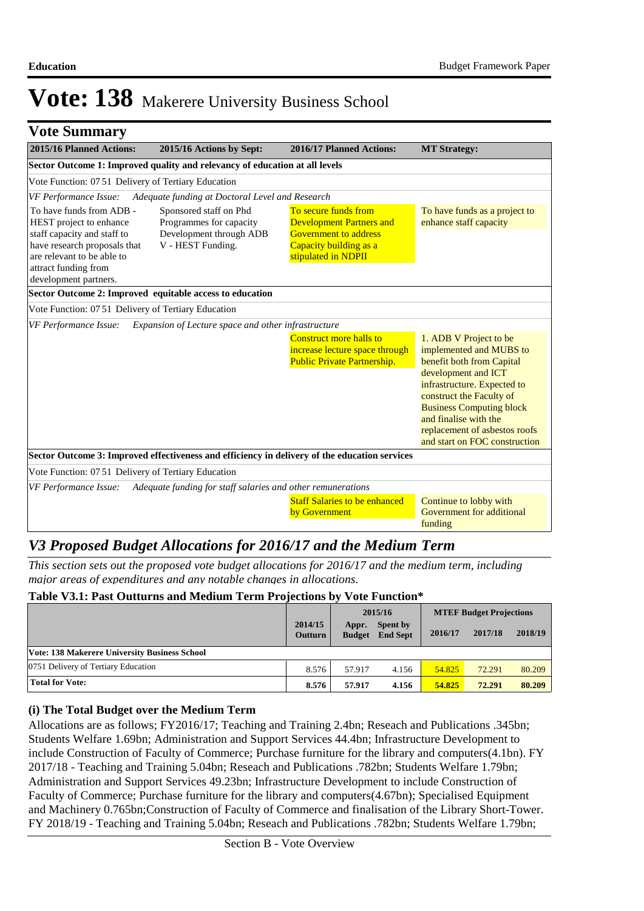| 2015/16 Planned Actions:                                                                                                                                                                          | 2015/16 Actions by Sept:                                                                          | 2016/17 Planned Actions:                                                                                                                 | <b>MT Strategy:</b>                                                                                                                                                                                                                                                                            |
|---------------------------------------------------------------------------------------------------------------------------------------------------------------------------------------------------|---------------------------------------------------------------------------------------------------|------------------------------------------------------------------------------------------------------------------------------------------|------------------------------------------------------------------------------------------------------------------------------------------------------------------------------------------------------------------------------------------------------------------------------------------------|
|                                                                                                                                                                                                   | Sector Outcome 1: Improved quality and relevancy of education at all levels                       |                                                                                                                                          |                                                                                                                                                                                                                                                                                                |
| Vote Function: 07 51 Delivery of Tertiary Education                                                                                                                                               |                                                                                                   |                                                                                                                                          |                                                                                                                                                                                                                                                                                                |
| VF Performance Issue:                                                                                                                                                                             | Adequate funding at Doctoral Level and Research                                                   |                                                                                                                                          |                                                                                                                                                                                                                                                                                                |
| To have funds from ADB -<br>HEST project to enhance<br>staff capacity and staff to<br>have research proposals that<br>are relevant to be able to<br>attract funding from<br>development partners. | Sponsored staff on Phd<br>Programmes for capacity<br>Development through ADB<br>V - HEST Funding. | To secure funds from<br><b>Development Partners and</b><br><b>Government to address</b><br>Capacity building as a<br>stipulated in NDPII | To have funds as a project to<br>enhance staff capacity                                                                                                                                                                                                                                        |
|                                                                                                                                                                                                   | Sector Outcome 2: Improved equitable access to education                                          |                                                                                                                                          |                                                                                                                                                                                                                                                                                                |
| Vote Function: 0751 Delivery of Tertiary Education                                                                                                                                                |                                                                                                   |                                                                                                                                          |                                                                                                                                                                                                                                                                                                |
| VF Performance Issue:                                                                                                                                                                             | Expansion of Lecture space and other infrastructure                                               |                                                                                                                                          |                                                                                                                                                                                                                                                                                                |
|                                                                                                                                                                                                   |                                                                                                   | Construct more halls to<br>increase lecture space through<br><b>Public Private Partnership.</b>                                          | 1. ADB V Project to be<br>implemented and MUBS to<br>benefit both from Capital<br>development and ICT<br>infrastructure. Expected to<br>construct the Faculty of<br><b>Business Computing block</b><br>and finalise with the<br>replacement of asbestos roofs<br>and start on FOC construction |
|                                                                                                                                                                                                   |                                                                                                   | Sector Outcome 3: Improved effectiveness and efficiency in delivery of the education services                                            |                                                                                                                                                                                                                                                                                                |
| Vote Function: 07 51 Delivery of Tertiary Education                                                                                                                                               |                                                                                                   |                                                                                                                                          |                                                                                                                                                                                                                                                                                                |
| VF Performance Issue:                                                                                                                                                                             | Adequate funding for staff salaries and other remunerations                                       |                                                                                                                                          |                                                                                                                                                                                                                                                                                                |
|                                                                                                                                                                                                   |                                                                                                   | <b>Staff Salaries to be enhanced</b><br>by Government                                                                                    | Continue to lobby with<br>Government for additional<br>funding                                                                                                                                                                                                                                 |

# *V3 Proposed Budget Allocations for 2016/17 and the Medium Term*

*This section sets out the proposed vote budget allocations for 2016/17 and the medium term, including major areas of expenditures and any notable changes in allocations.* 

#### **Table V3.1: Past Outturns and Medium Term Projections by Vote Function\***

|                                               | 2014/15<br><b>Outturn</b> | Appr.<br><b>Budget</b> | 2015/16<br><b>Spent by</b><br><b>End Sept</b> | 2016/17 | <b>MTEF Budget Projections</b><br>2017/18 | 2018/19 |
|-----------------------------------------------|---------------------------|------------------------|-----------------------------------------------|---------|-------------------------------------------|---------|
| Vote: 138 Makerere University Business School |                           |                        |                                               |         |                                           |         |
| 0751 Delivery of Tertiary Education           | 8.576                     | 57.917                 | 4.156                                         | 54.825  | 72.291                                    | 80.209  |
| <b>Total for Vote:</b>                        | 8.576                     | 57.917                 | 4.156                                         | 54.825  | 72.291                                    | 80.209  |

### **(i) The Total Budget over the Medium Term**

Allocations are as follows; FY2016/17; Teaching and Training 2.4bn; Reseach and Publications .345bn; Students Welfare 1.69bn; Administration and Support Services 44.4bn; Infrastructure Development to include Construction of Faculty of Commerce; Purchase furniture for the library and computers(4.1bn). FY 2017/18 - Teaching and Training 5.04bn; Reseach and Publications .782bn; Students Welfare 1.79bn; Administration and Support Services 49.23bn; Infrastructure Development to include Construction of Faculty of Commerce; Purchase furniture for the library and computers(4.67bn); Specialised Equipment and Machinery 0.765bn;Construction of Faculty of Commerce and finalisation of the Library Short-Tower. FY 2018/19 - Teaching and Training 5.04bn; Reseach and Publications .782bn; Students Welfare 1.79bn;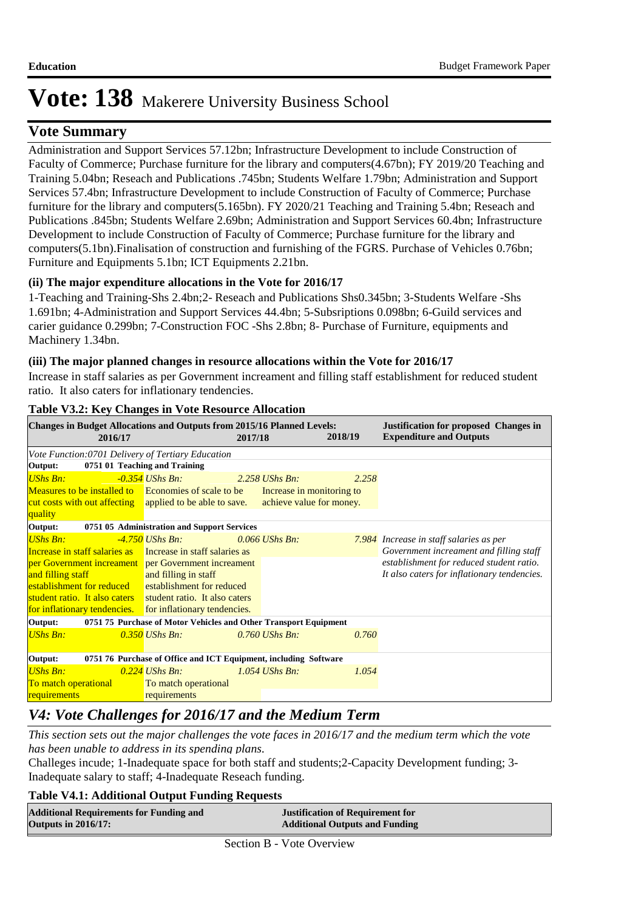## **Vote Summary**

Administration and Support Services 57.12bn; Infrastructure Development to include Construction of Faculty of Commerce; Purchase furniture for the library and computers(4.67bn); FY 2019/20 Teaching and Training 5.04bn; Reseach and Publications .745bn; Students Welfare 1.79bn; Administration and Support Services 57.4bn; Infrastructure Development to include Construction of Faculty of Commerce; Purchase furniture for the library and computers(5.165bn). FY 2020/21 Teaching and Training 5.4bn; Reseach and Publications .845bn; Students Welfare 2.69bn; Administration and Support Services 60.4bn; Infrastructure Development to include Construction of Faculty of Commerce; Purchase furniture for the library and computers(5.1bn).Finalisation of construction and furnishing of the FGRS. Purchase of Vehicles 0.76bn; Furniture and Equipments 5.1bn; ICT Equipments 2.21bn.

### **(ii) The major expenditure allocations in the Vote for 2016/17**

1-Teaching and Training-Shs 2.4bn;2- Reseach and Publications Shs0.345bn; 3-Students Welfare -Shs 1.691bn; 4-Administration and Support Services 44.4bn; 5-Subsriptions 0.098bn; 6-Guild services and carier guidance 0.299bn; 7-Construction FOC -Shs 2.8bn; 8- Purchase of Furniture, equipments and Machinery 1.34bn.

### **(iii) The major planned changes in resource allocations within the Vote for 2016/17**

Increase in staff salaries as per Government increament and filling staff establishment for reduced student ratio. It also caters for inflationary tendencies.

| <b>Changes in Budget Allocations and Outputs from 2015/16 Planned Levels:</b><br>2016/17 |                                                     | 2017/18 |                          | 2018/19 | <b>Justification for proposed Changes in</b><br><b>Expenditure and Outputs</b> |
|------------------------------------------------------------------------------------------|-----------------------------------------------------|---------|--------------------------|---------|--------------------------------------------------------------------------------|
| Vote Function:0701 Delivery of Tertiary Education                                        |                                                     |         |                          |         |                                                                                |
| Output:                                                                                  | 0751 01 Teaching and Training                       |         |                          |         |                                                                                |
| <b>UShs Bn:</b>                                                                          | $-0.354$ UShs Bn:                                   |         | $2.258$ UShs Bn:         | 2.258   |                                                                                |
| Measures to be installed to Economies of scale to be Increase in monitoring to           |                                                     |         |                          |         |                                                                                |
| cut costs with out affecting applied to be able to save.                                 |                                                     |         | achieve value for money. |         |                                                                                |
| quality                                                                                  |                                                     |         |                          |         |                                                                                |
| Output:<br>0751 05 Administration and Support Services                                   |                                                     |         |                          |         |                                                                                |
| <b>UShs Bn:</b>                                                                          | -4.750 UShs Bn:                                     |         | $0.066$ UShs Bn:         |         | 7.984 Increase in staff salaries as per                                        |
| Increase in staff salaries as Increase in staff salaries as                              |                                                     |         |                          |         | Government increament and filling staff                                        |
|                                                                                          | per Government increament per Government increament |         |                          |         | establishment for reduced student ratio.                                       |
| and filling staff                                                                        | and filling in staff                                |         |                          |         | It also caters for inflationary tendencies.                                    |
| establishment for reduced establishment for reduced                                      |                                                     |         |                          |         |                                                                                |
| student ratio. It also caters student ratio. It also caters                              |                                                     |         |                          |         |                                                                                |
| for inflationary tendencies. for inflationary tendencies.                                |                                                     |         |                          |         |                                                                                |
| 0751 75 Purchase of Motor Vehicles and Other Transport Equipment<br>Output:              |                                                     |         |                          |         |                                                                                |
| <b>UShs Bn:</b>                                                                          | $0.350$ UShs Bn:                                    |         | $0.760$ UShs Bn.         | 0.760   |                                                                                |
| 0751 76 Purchase of Office and ICT Equipment, including Software<br>Output:              |                                                     |         |                          |         |                                                                                |
| <b>UShs Bn:</b>                                                                          | $0.224$ UShs Bn:                                    |         | $1.054$ UShs Bn:         | 1.054   |                                                                                |
| To match operational                                                                     | To match operational                                |         |                          |         |                                                                                |
| requirements                                                                             | requirements                                        |         |                          |         |                                                                                |

#### **Table V3.2: Key Changes in Vote Resource Allocation**

# *V4: Vote Challenges for 2016/17 and the Medium Term*

*This section sets out the major challenges the vote faces in 2016/17 and the medium term which the vote has been unable to address in its spending plans.*

Challeges incude; 1-Inadequate space for both staff and students;2-Capacity Development funding; 3- Inadequate salary to staff; 4-Inadequate Reseach funding.

#### **Table V4.1: Additional Output Funding Requests**

| <b>Additional Requirements for Funding and</b> | <b>Justification of Requirement for</b> |
|------------------------------------------------|-----------------------------------------|
| <b>Outputs in 2016/17:</b>                     | <b>Additional Outputs and Funding</b>   |
|                                                |                                         |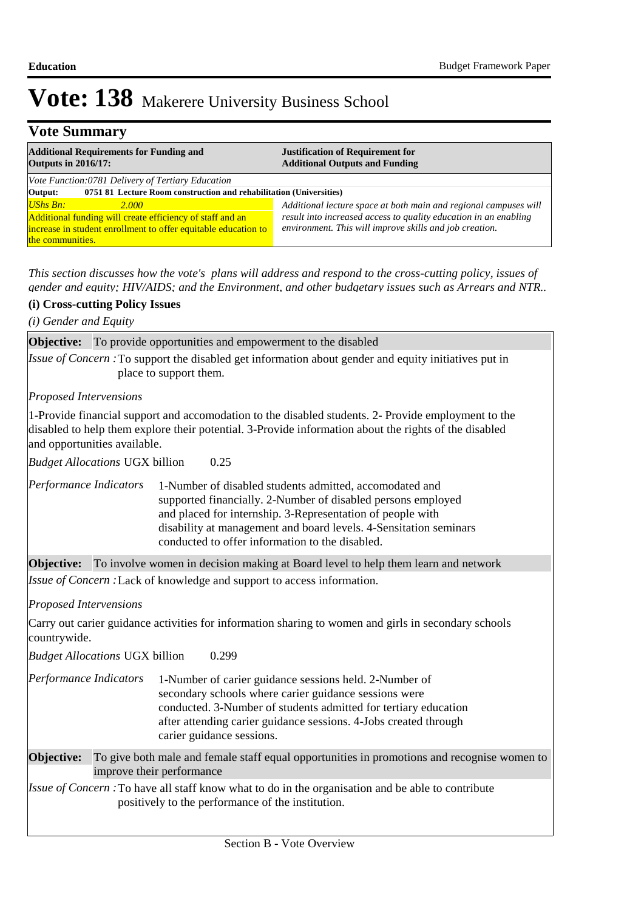## **Vote Summary**

| <b>Additional Requirements for Funding and</b><br><b>Outputs in 2016/17:</b>                                                                                           | <b>Justification of Requirement for</b><br><b>Additional Outputs and Funding</b>                                                                                                                |  |  |  |
|------------------------------------------------------------------------------------------------------------------------------------------------------------------------|-------------------------------------------------------------------------------------------------------------------------------------------------------------------------------------------------|--|--|--|
| Vote Function:0781 Delivery of Tertiary Education<br>0751 81 Lecture Room construction and rehabilitation (Universities)<br>Output:                                    |                                                                                                                                                                                                 |  |  |  |
| $UShs Bn:$<br>2.000<br>Additional funding will create efficiency of staff and an<br>increase in student enrollment to offer equitable education to<br>the communities. | Additional lecture space at both main and regional campuses will<br>result into increased access to quality education in an enabling<br>environment. This will improve skills and job creation. |  |  |  |

*This section discusses how the vote's plans will address and respond to the cross-cutting policy, issues of gender and equity; HIV/AIDS; and the Environment, and other budgetary issues such as Arrears and NTR..* 

#### **(i) Cross-cutting Policy Issues**

*(i) Gender and Equity*

**Objective:** To provide opportunities and empowerment to the disabled

Issue of Concern : To support the disabled get information about gender and equity initiatives put in place to support them.

*Proposed Intervensions* 

1-Provide financial support and accomodation to the disabled students. 2- Provide employment to the disabled to help them explore their potential. 3-Provide information about the rights of the disabled and opportunities available.

0.25 *Budget Allocations*  UGX billion

1-Number of disabled students admitted, accomodated and supported financially. 2-Number of disabled persons employed and placed for internship. 3-Representation of people with disability at management and board levels. 4-Sensitation seminars conducted to offer information to the disabled. *Performance Indicators*

**Objective:** To involve women in decision making at Board level to help them learn and network

Issue of Concern : Lack of knowledge and support to access information.

*Proposed Intervensions* 

Carry out carier guidance activities for information sharing to women and girls in secondary schools countrywide.

0.299 *Budget Allocations*  UGX billion

| Performance Indicators | 1-Number of carier guidance sessions held. 2-Number of           |
|------------------------|------------------------------------------------------------------|
|                        | secondary schools where carier guidance sessions were            |
|                        | conducted. 3-Number of students admitted for tertiary education  |
|                        | after attending carier guidance sessions. 4-Jobs created through |
|                        | carier guidance sessions.                                        |

To give both male and female staff equal opportunities in promotions and recognise women to improve their performance **Objective:**

*Issue of Concern* : To have all staff know what to do in the organisation and be able to contribute positively to the performance of the institution.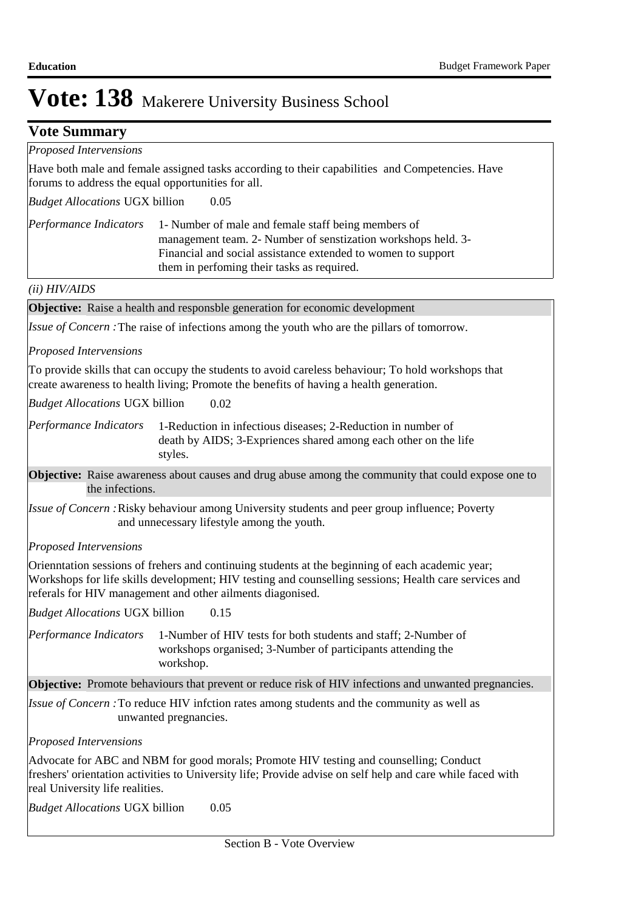| <b>Vote Summary</b>                                |                                                                                                                                                                                                                                                                         |  |  |
|----------------------------------------------------|-------------------------------------------------------------------------------------------------------------------------------------------------------------------------------------------------------------------------------------------------------------------------|--|--|
| <b>Proposed Intervensions</b>                      |                                                                                                                                                                                                                                                                         |  |  |
| forums to address the equal opportunities for all. | Have both male and female assigned tasks according to their capabilities and Competencies. Have                                                                                                                                                                         |  |  |
| <b>Budget Allocations UGX billion</b>              | 0.05                                                                                                                                                                                                                                                                    |  |  |
| Performance Indicators                             | 1- Number of male and female staff being members of<br>management team. 2- Number of senstization workshops held. 3-<br>Financial and social assistance extended to women to support<br>them in perfoming their tasks as required.                                      |  |  |
| (ii) HIV/ALDS                                      |                                                                                                                                                                                                                                                                         |  |  |
|                                                    | <b>Objective:</b> Raise a health and responsble generation for economic development                                                                                                                                                                                     |  |  |
|                                                    | Issue of Concern: The raise of infections among the youth who are the pillars of tomorrow.                                                                                                                                                                              |  |  |
| <b>Proposed Intervensions</b>                      |                                                                                                                                                                                                                                                                         |  |  |
|                                                    | To provide skills that can occupy the students to avoid careless behaviour; To hold workshops that<br>create awareness to health living; Promote the benefits of having a health generation.                                                                            |  |  |
| <b>Budget Allocations UGX billion</b>              | 0.02                                                                                                                                                                                                                                                                    |  |  |
| Performance Indicators                             | 1-Reduction in infectious diseases; 2-Reduction in number of<br>death by AIDS; 3-Expriences shared among each other on the life<br>styles.                                                                                                                              |  |  |
| the infections.                                    | Objective: Raise awareness about causes and drug abuse among the community that could expose one to                                                                                                                                                                     |  |  |
|                                                    | <i>Issue of Concern</i> : Risky behaviour among University students and peer group influence; Poverty<br>and unnecessary lifestyle among the youth.                                                                                                                     |  |  |
| <b>Proposed Intervensions</b>                      |                                                                                                                                                                                                                                                                         |  |  |
|                                                    | Orienntation sessions of frehers and continuing students at the beginning of each academic year;<br>Workshops for life skills development; HIV testing and counselling sessions; Health care services and<br>referals for HIV management and other ailments diagonised. |  |  |
| <b>Budget Allocations UGX billion</b>              | 0.15                                                                                                                                                                                                                                                                    |  |  |
| Performance Indicators                             | 1-Number of HIV tests for both students and staff; 2-Number of<br>workshops organised; 3-Number of participants attending the<br>workshop.                                                                                                                              |  |  |
|                                                    | <b>Objective:</b> Promote behaviours that prevent or reduce risk of HIV infections and unwanted pregnancies.                                                                                                                                                            |  |  |
|                                                    | <i>Issue of Concern</i> : To reduce HIV infction rates among students and the community as well as<br>unwanted pregnancies.                                                                                                                                             |  |  |
| Proposed Intervensions                             |                                                                                                                                                                                                                                                                         |  |  |
| real University life realities.                    | Advocate for ABC and NBM for good morals; Promote HIV testing and counselling; Conduct<br>freshers' orientation activities to University life; Provide advise on self help and care while faced with                                                                    |  |  |
| <b>Budget Allocations UGX billion</b>              | 0.05                                                                                                                                                                                                                                                                    |  |  |